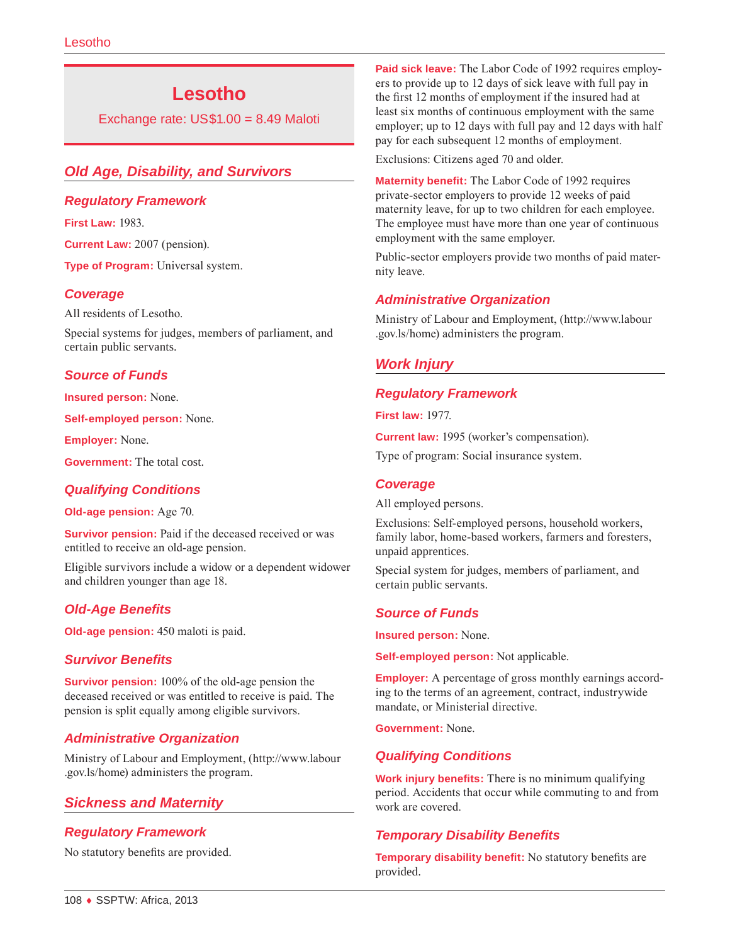# **Lesotho**

Exchange rate: US\$1.00 = 8.49 Maloti

# *Old Age, Disability, and Survivors*

### *Regulatory Framework*

**First Law:** 1983.

**Current Law:** 2007 (pension).

**Type of Program:** Universal system.

### *Coverage*

All residents of Lesotho.

Special systems for judges, members of parliament, and certain public servants.

#### *Source of Funds*

**Insured person:** None.

**Self-employed person:** None.

**Employer:** None.

**Government:** The total cost.

# *Qualifying Conditions*

**Old-age pension:** Age 70.

**Survivor pension:** Paid if the deceased received or was entitled to receive an old-age pension.

Eligible survivors include a widow or a dependent widower and children younger than age 18.

# *Old-Age Benefits*

**Old-age pension:** 450 maloti is paid.

#### *Survivor Benefits*

**Survivor pension:** 100% of the old-age pension the deceased received or was entitled to receive is paid. The pension is split equally among eligible survivors.

# *Administrative Organization*

Ministry of Labour and Employment, [\(http://www.labour](http://www.labour.gov.ls/home) [.gov.ls/home](http://www.labour.gov.ls/home)) administers the program.

# *Sickness and Maternity*

# *Regulatory Framework*

No statutory benefits are provided.

**Paid sick leave:** The Labor Code of 1992 requires employers to provide up to 12 days of sick leave with full pay in the first 12 months of employment if the insured had at least six months of continuous employment with the same employer; up to 12 days with full pay and 12 days with half pay for each subsequent 12 months of employment.

Exclusions: Citizens aged 70 and older.

**Maternity benefit:** The Labor Code of 1992 requires private-sector employers to provide 12 weeks of paid maternity leave, for up to two children for each employee. The employee must have more than one year of continuous employment with the same employer.

Public-sector employers provide two months of paid maternity leave.

# *Administrative Organization*

Ministry of Labour and Employment, [\(http://www.labour](http://www.labour.gov.ls/home) [.gov.ls/home](http://www.labour.gov.ls/home)) administers the program.

# *Work Injury*

### *Regulatory Framework*

**First law:** 1977.

**Current law:** 1995 (worker's compensation).

Type of program: Social insurance system.

#### *Coverage*

All employed persons.

Exclusions: Self-employed persons, household workers, family labor, home-based workers, farmers and foresters, unpaid apprentices.

Special system for judges, members of parliament, and certain public servants.

# *Source of Funds*

**Insured person:** None.

**Self-employed person:** Not applicable.

**Employer:** A percentage of gross monthly earnings according to the terms of an agreement, contract, industrywide mandate, or Ministerial directive.

**Government:** None.

# *Qualifying Conditions*

**Work injury benefits:** There is no minimum qualifying period. Accidents that occur while commuting to and from work are covered.

# *Temporary Disability Benefits*

**Temporary disability benefit:** No statutory benefits are provided.